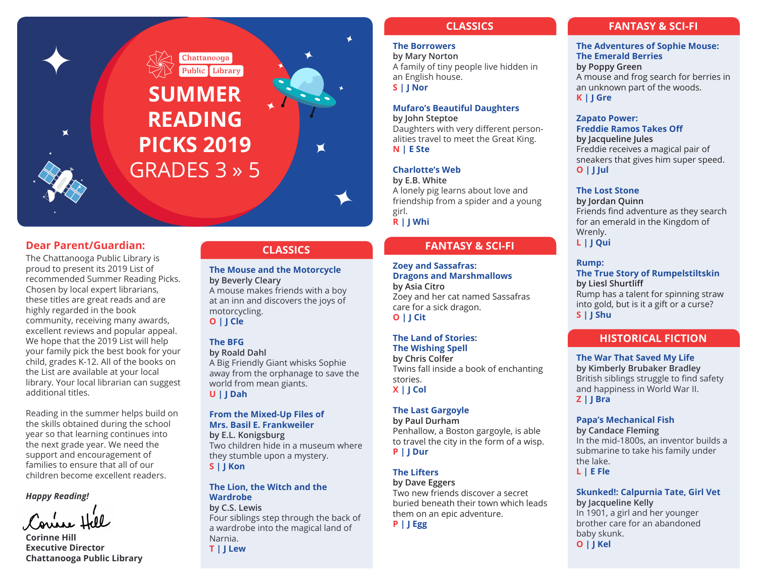

## **Dear Parent/Guardian:**

 $\blacksquare$ 

The Chattanooga Public Library is proud to present its 2019 List of recommended Summer Reading Picks. Chosen by local expert librarians, these titles are great reads and are highly regarded in the book community, receiving many awards, excellent reviews and popular appeal. We hope that the 2019 List will help your family pick the best book for your child, grades K-12. All of the books on the List are available at your local library. Your local librarian can suggest additional titles.

Reading in the summer helps build on the skills obtained during the school year so that learning continues into the next grade year. We need the support and encouragement of families to ensure that all of our children become excellent readers.

#### *Happy Reading!*

**Corinne Hill Executive Director Chattanooga Public Library**

## **CLASSICS**

**The Mouse and the Motorcycle by Beverly Cleary** A mouse makes friends with a boy at an inn and discovers the joys of motorcycling. **O | J Cle**

## **The BFG**

**by Roald Dahl** A Big Friendly Giant whisks Sophie away from the orphanage to save the world from mean giants. **U | J Dah**

# **From the Mixed-Up Files of**

**Mrs. Basil E. Frankweiler by E.L. Konigsburg** Two children hide in a museum where they stumble upon a mystery. **S | J Kon**

## **The Lion, the Witch and the Wardrobe**

**by C.S. Lewis** Four siblings step through the back of a wardrobe into the magical land of Narnia.

**T | J Lew**

# **CLASSICS**

# **The Borrowers**

 $\blacklozenge$ 

 $\blacksquare$ 

**by Mary Norton** A family of tiny people live hidden in an English house. **S | J Nor**

#### **Mufaro's Beautiful Daughters**

**by John Steptoe** Daughters with very different personalities travel to meet the Great King. **N | E Ste**

## **Charlotte's Web**

**by E.B. White** A lonely pig learns about love and friendship from a spider and a young girl. **R | J Whi**

# **FANTASY & SCI-FI**

**Zoey and Sassafras: Dragons and Marshmallows by Asia Citro** Zoey and her cat named Sassafras care for a sick dragon.

**O | J Cit**

# **The Land of Stories:**

**The Wishing Spell by Chris Colfer** Twins fall inside a book of enchanting stories. **X | J Col**

## **The Last Gargoyle**

**by Paul Durham** Penhallow, a Boston gargoyle, is able to travel the city in the form of a wisp. **P | J Dur**

## **The Lifters**

**by Dave Eggers** Two new friends discover a secret buried beneath their town which leads them on an epic adventure.

**P | J Egg**

# **FANTASY & SCI-FI**

**The Adventures of Sophie Mouse: The Emerald Berries by Poppy Green** A mouse and frog search for berries in an unknown part of the woods. **K | J Gre**

## **Zapato Power: Freddie Ramos Takes Off by Jacqueline Jules** Freddie receives a magical pair of sneakers that gives him super speed. **O | J Jul**

#### **The Lost Stone**

**by Jordan Quinn** Friends find adventure as they search for an emerald in the Kingdom of Wrenly. **L | J Qui**

#### **Rump:**

**The True Story of Rumpelstiltskin by Liesl Shurtliff** Rump has a talent for spinning straw

into gold, but is it a gift or a curse? **S | J Shu**

# **HISTORICAL FICTION**

## **The War That Saved My Life**

**by Kimberly Brubaker Bradley** British siblings struggle to find safety and happiness in World War II. **Z | J Bra**

# **Papa's Mechanical Fish**

**by Candace Fleming** In the mid-1800s, an inventor builds a submarine to take his family under the lake. **L | E Fle**

# **Skunked!: Calpurnia Tate, Girl Vet**

**by Jacqueline Kelly** In 1901, a girl and her younger brother care for an abandoned baby skunk. **O | J Kel**